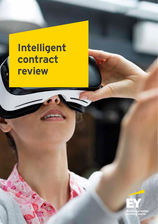# **Intelligent contract review**

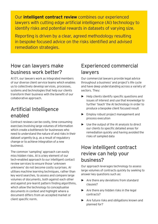Our **intelligent contract review** combines our experienced lawyers with cutting edge artificial intelligence (AI) technology to identify risks and potential rewards in datasets of varying size.

Reporting is driven by a clear, agreed methodology resulting in bespoke focused advice on the risks identified and advised remediation strategies.

### How can lawyers make business work better?

At EY, our lawyers work as integrated members of our diverse client service teams which enables us to collectively develop services, processes, systems and technologies that help our clients transform their business with the benefit of our collaborative approach.

# Artificial Intelligence enabled

Contract reviews can be costly, time consuming exercises involving large volumes of information which create a bottleneck for businesses who need to understand the nature of and risks in their dataset urgently (e.g. as a result of regulatory change or to achieve integration of a new business).

The common 'sampling' approach can easily miss hidden risks. AI is a key element of our tech-enabled approach to our intelligent contact review services to ensure those 'unknown unknowns' do not become costly surprises. AI utilises machine learning techniques, rather than key word searches, to assess and compare large volumes of documents, both against each other and against pre-learnt pattern finding algorithms, which allow the technology to conceptualise documents in context and highlight where a document differs from an accepted market or client specific norm.

# Experienced commercial lawyers

Our commercial lawyers provide legal advice throughout a business' and project's life cycle and have deep understanding across a variety of sectors. They:

- **►** Help clients identify specific questions and issues of interest and use that knowledge to further 'teach' the AI technology in order to produce a bespoke client focused result
- **►** Employ robust project management and process execution
- **►** Use the output of the AI analysis to direct our clients to specific detailed areas for remediation quickly and having avoided the risks of sampled data

# How intelligent contract review can help your business?

Our approach leverages technology to assess large volumes of contracts quickly by seeking to answer key questions such as:

- **►** Are there any deviations from standard clauses?
- ► Are there any hidden risks in the legal contracts?
- **►** Are future risks and obligations known and planned for?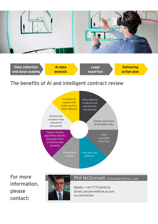



#### The benefits of AI and intelligent contract review



For more information, please contact:



#### Phil McDonnell | Associate Partner, Law

Mobile: + 44 7775 824216 Email: pmcdonnell@uk.ey.com ey.com/uk/law